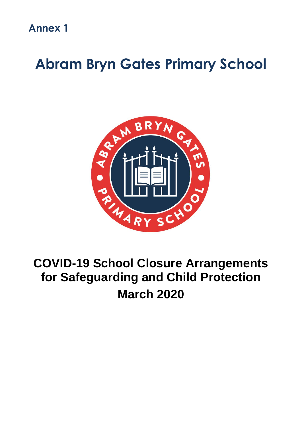**Annex 1**

# **Abram Bryn Gates Primary School**



## **COVID-19 School Closure Arrangements for Safeguarding and Child Protection March 2020**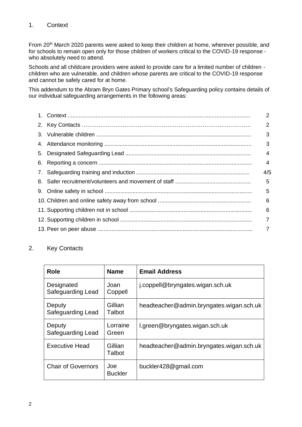## 1. Context

From 20<sup>th</sup> March 2020 parents were asked to keep their children at home, wherever possible, and for schools to remain open only for those children of workers critical to the COVID-19 response who absolutely need to attend.

Schools and all childcare providers were asked to provide care for a limited number of children children who are vulnerable, and children whose parents are critical to the COVID-19 response and cannot be safely cared for at home.

This addendum to the Abram Bryn Gates Primary school's Safeguarding policy contains details of our individual safeguarding arrangements in the following areas:

|   |  | 2              |  |
|---|--|----------------|--|
|   |  | $\overline{2}$ |  |
|   |  | 3              |  |
|   |  | 3              |  |
|   |  |                |  |
|   |  |                |  |
|   |  |                |  |
|   |  | 5              |  |
|   |  | 5              |  |
|   |  | 6              |  |
|   |  | 6              |  |
| 7 |  |                |  |
| 7 |  |                |  |

## 2. Key Contacts

| Role                            | <b>Name</b>           | <b>Email Address</b>                     |
|---------------------------------|-----------------------|------------------------------------------|
| Designated<br>Safeguarding Lead | Joan<br>Coppell       | j.coppell@bryngates.wigan.sch.uk         |
| Deputy<br>Safeguarding Lead     | Gillian<br>Talbot     | headteacher@admin.bryngates.wigan.sch.uk |
| Deputy<br>Safeguarding Lead     | Lorraine<br>Green     | l.green@bryngates.wigan.sch.uk           |
| <b>Executive Head</b>           | Gillian<br>Talbot     | headteacher@admin.bryngates.wigan.sch.uk |
| <b>Chair of Governors</b>       | Joe<br><b>Buckler</b> | buckler428@gmail.com                     |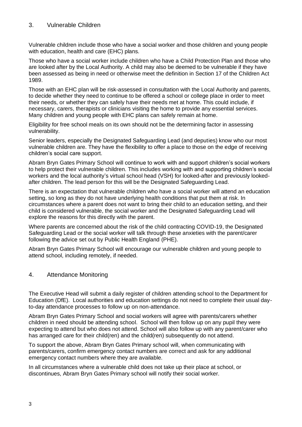## 3. Vulnerable Children

Vulnerable children include those who have a social worker and those children and young people with education, health and care (EHC) plans.

Those who have a social worker include children who have a Child Protection Plan and those who are looked after by the Local Authority. A child may also be deemed to be vulnerable if they have been assessed as being in need or otherwise meet the definition in Section 17 of the Children Act 1989.

Those with an EHC plan will be risk-assessed in consultation with the Local Authority and parents, to decide whether they need to continue to be offered a school or college place in order to meet their needs, or whether they can safely have their needs met at home. This could include, if necessary, carers, therapists or clinicians visiting the home to provide any essential services. Many children and young people with EHC plans can safely remain at home.

Eligibility for free school meals on its own should not be the determining factor in assessing vulnerability.

Senior leaders, especially the Designated Safeguarding Lead (and deputies) know who our most vulnerable children are. They have the flexibility to offer a place to those on the edge of receiving children's social care support.

Abram Bryn Gates Primary School will continue to work with and support children's social workers to help protect their vulnerable children. This includes working with and supporting children's social workers and the local authority's virtual school head (VSH) for looked-after and previously lookedafter children. The lead person for this will be the Designated Safeguarding Lead.

There is an expectation that vulnerable children who have a social worker will attend an education setting, so long as they do not have underlying health conditions that put them at risk. In circumstances where a parent does not want to bring their child to an education setting, and their child is considered vulnerable, the social worker and the Designated Safeguarding Lead will explore the reasons for this directly with the parent.

Where parents are concerned about the risk of the child contracting COVID-19, the Designated Safeguarding Lead or the social worker will talk through these anxieties with the parent/carer following the advice set out by Public Health England (PHE).

Abram Bryn Gates Primary School will encourage our vulnerable children and young people to attend school, including remotely, if needed.

## 4. Attendance Monitoring

The Executive Head will submit a daily register of children attending school to the Department for Education (DfE). Local authorities and education settings do not need to complete their usual dayto-day attendance processes to follow up on non-attendance.

Abram Bryn Gates Primary School and social workers will agree with parents/carers whether children in need should be attending school. School will then follow up on any pupil they were expecting to attend but who does not attend. School will also follow up with any parent/carer who has arranged care for their child(ren) and the child(ren) subsequently do not attend.

To support the above, Abram Bryn Gates Primary school will, when communicating with parents/carers, confirm emergency contact numbers are correct and ask for any additional emergency contact numbers where they are available.

In all circumstances where a vulnerable child does not take up their place at school, or discontinues, Abram Bryn Gates Primary school will notify their social worker.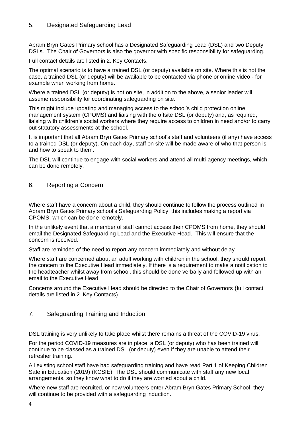## 5. Designated Safeguarding Lead

Abram Bryn Gates Primary school has a Designated Safeguarding Lead (DSL) and two Deputy DSLs. The Chair of Governors is also the governor with specific responsibility for safeguarding.

Full contact details are listed in 2. Key Contacts.

The optimal scenario is to have a trained DSL (or deputy) available on site. Where this is not the case, a trained DSL (or deputy) will be available to be contacted via phone or online video - for example when working from home.

Where a trained DSL (or deputy) is not on site, in addition to the above, a senior leader will assume responsibility for coordinating safeguarding on site.

This might include updating and managing access to the school's child protection online management system (CPOMS) and liaising with the offsite DSL (or deputy) and, as required, liaising with children's social workers where they require access to children in need and/or to carry out statutory assessments at the school.

It is important that all Abram Bryn Gates Primary school's staff and volunteers (if any) have access to a trained DSL (or deputy). On each day, staff on site will be made aware of who that person is and how to speak to them.

The DSL will continue to engage with social workers and attend all multi-agency meetings, which can be done remotely.

#### 6. Reporting a Concern

Where staff have a concern about a child, they should continue to follow the process outlined in Abram Bryn Gates Primary school's Safeguarding Policy, this includes making a report via CPOMS, which can be done remotely.

In the unlikely event that a member of staff cannot access their CPOMS from home, they should email the Designated Safeguarding Lead and the Executive Head. This will ensure that the concern is received.

Staff are reminded of the need to report any concern immediately and without delay.

Where staff are concerned about an adult working with children in the school, they should report the concern to the Executive Head immediately. If there is a requirement to make a notification to the headteacher whilst away from school, this should be done verbally and followed up with an email to the Executive Head.

Concerns around the Executive Head should be directed to the Chair of Governors (full contact details are listed in 2. Key Contacts).

## 7. Safeguarding Training and Induction

DSL training is very unlikely to take place whilst there remains a threat of the COVID-19 virus.

For the period COVID-19 measures are in place, a DSL (or deputy) who has been trained will continue to be classed as a trained DSL (or deputy) even if they are unable to attend their refresher training.

All existing school staff have had safeguarding training and have read Part 1 of Keeping Children Safe in Education (2019) (KCSIE). The DSL should communicate with staff any new local arrangements, so they know what to do if they are worried about a child.

Where new staff are recruited, or new volunteers enter Abram Bryn Gates Primary School, they will continue to be provided with a safeguarding induction.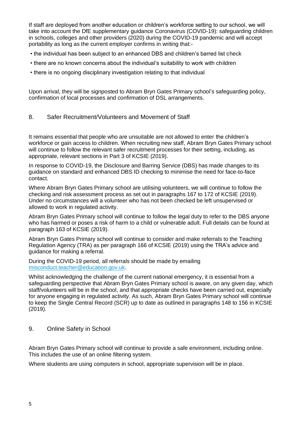If staff are deployed from another education or children's workforce setting to our school, we will take into account the DfE supplementary guidance Coronavirus (COVID-19): safeguarding children in schools, colleges and other providers (2020) during the COVID-19 pandemic and will accept portability as long as the current employer confirms in writing that:-

- the individual has been subject to an enhanced DBS and children's barred list check
- there are no known concerns about the individual's suitability to work with children
- there is no ongoing disciplinary investigation relating to that individual

Upon arrival, they will be signposted to Abram Bryn Gates Primary school's safeguarding policy, confirmation of local processes and confirmation of DSL arrangements.

## 8. Safer Recruitment/Volunteers and Movement of Staff

It remains essential that people who are unsuitable are not allowed to enter the children's workforce or gain access to children. When recruiting new staff, Abram Bryn Gates Primary school will continue to follow the relevant safer recruitment processes for their setting, including, as appropriate, relevant sections in Part 3 of KCSIE (2019).

In response to COVID-19, the Disclosure and Barring Service (DBS) has made changes to its guidance on standard and enhanced DBS ID checking to minimise the need for face-to-face contact.

Where Abram Bryn Gates Primary school are utilising volunteers, we will continue to follow the checking and risk assessment process as set out in paragraphs 167 to 172 of KCSIE (2019). Under no circumstances will a volunteer who has not been checked be left unsupervised or allowed to work in regulated activity.

Abram Bryn Gates Primary school will continue to follow the legal duty to refer to the DBS anyone who has harmed or poses a risk of harm to a child or vulnerable adult. Full details can be found at paragraph 163 of KCSIE (2019).

Abram Bryn Gates Primary school will continue to consider and make referrals to the Teaching Regulation Agency (TRA) as per paragraph 166 of KCSIE (2019) using the TRA's advice and guidance for making a referral.

During the COVID-19 period, all referrals should be made by emailing [misconduct.teacher@education.gov.uk.](mailto:misconduct.teacher@education.gov.uk)

Whilst acknowledging the challenge of the current national emergency, it is essential from a safeguarding perspective that Abram Bryn Gates Primary school is aware, on any given day, which staff/volunteers will be in the school, and that appropriate checks have been carried out, especially for anyone engaging in regulated activity. As such, Abram Bryn Gates Primary school will continue to keep the Single Central Record (SCR) up to date as outlined in paragraphs 148 to 156 in KCSIE (2019).

9. Online Safety in School

Abram Bryn Gates Primary school will continue to provide a safe environment, including online. This includes the use of an online filtering system.

Where students are using computers in school, appropriate supervision will be in place.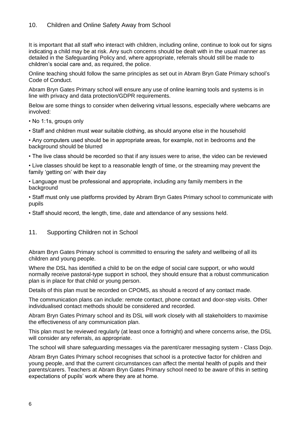## 10. Children and Online Safety Away from School

It is important that all staff who interact with children, including online, continue to look out for signs indicating a child may be at risk. Any such concerns should be dealt with in the usual manner as detailed in the Safeguarding Policy and, where appropriate, referrals should still be made to children's social care and, as required, the police.

Online teaching should follow the same principles as set out in Abram Bryn Gate Primary school's Code of Conduct.

Abram Bryn Gates Primary school will ensure any use of online learning tools and systems is in line with privacy and data protection/GDPR requirements.

Below are some things to consider when delivering virtual lessons, especially where webcams are involved:

- No 1:1s, groups only
- Staff and children must wear suitable clothing, as should anyone else in the household

• Any computers used should be in appropriate areas, for example, not in bedrooms and the background should be blurred

• The live class should be recorded so that if any issues were to arise, the video can be reviewed

• Live classes should be kept to a reasonable length of time, or the streaming may prevent the family 'getting on' with their day

• Language must be professional and appropriate, including any family members in the background

• Staff must only use platforms provided by Abram Bryn Gates Primary school to communicate with pupils

• Staff should record, the length, time, date and attendance of any sessions held.

#### 11. Supporting Children not in School

Abram Bryn Gates Primary school is committed to ensuring the safety and wellbeing of all its children and young people.

Where the DSL has identified a child to be on the edge of social care support, or who would normally receive pastoral-type support in school, they should ensure that a robust communication plan is in place for that child or young person.

Details of this plan must be recorded on CPOMS, as should a record of any contact made.

The communication plans can include: remote contact, phone contact and door-step visits. Other individualised contact methods should be considered and recorded.

Abram Bryn Gates Primary school and its DSL will work closely with all stakeholders to maximise the effectiveness of any communication plan.

This plan must be reviewed regularly (at least once a fortnight) and where concerns arise, the DSL will consider any referrals, as appropriate.

The school will share safeguarding messages via the parent/carer messaging system - Class Dojo.

Abram Bryn Gates Primary school recognises that school is a protective factor for children and young people, and that the current circumstances can affect the mental health of pupils and their parents/carers. Teachers at Abram Bryn Gates Primary school need to be aware of this in setting expectations of pupils' work where they are at home.